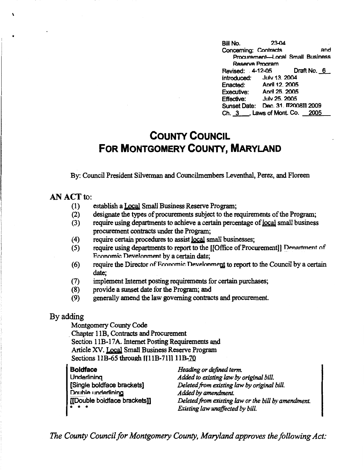Bill No. 23-04 Concerning: Contracts and Procurement-Local Small Business **Reserve Program** Revised: . 4-12-05 Draft No.\_§\_ Introduced: Julv 13\_ 2004 Enacted: Anril 12. 2005 Executive: Anril25\_2005 Effective: Julv 25. 2005 Sunset Date: Dec. 31. IT200811 2009 Ch. 3 Laws of Mont. Co. 2005

## **COUNTY COUNCIL FOR MONTGOMERY COUNTY, MARYLAND**

By: Council President Silvennan and Councilmembers Leventhal, Perez, and Floreen

## **AN ACT** to:

 $\mathbf{r}$ 

- (1) establish a Local Small Business Reserve Program;
- (2) designate the types of procurements subject to the requirements of the Program;
- (3) require using departments to achieve a certain percentage of local small business procurement contracts under the Program;
- (4) require certain procedures to assist local small businesses;
- (5) require using departments to report to the [[Office of Procurement]] Denartment of Economic Develonment by a certain date;
- (6) require the Director of Fronomic Development to report to the Council by a certain date;
- (7) implement Internet posting requirements for certain purchases;
- (8) provide a sunset date for the Program; and
- (9) generally amend the law governing contracts and procurement.

## By adding

Montgomery County Code . Chapter 1 lB, Contracts and Procurement Section 11B-17A. Internet Posting Requirements and Article XV. Local Small Business Reserve Program Sections 11B-65 through II11B-7111 11B-70

| <b>Boldface</b>               | Heading or defined term.                            |
|-------------------------------|-----------------------------------------------------|
| Underlining                   | Added to existing law by original bill.             |
| [Single boldface brackets]    | Deleted from existing law by original bill.         |
| Double underlining            | Added by amendment.                                 |
| [[Double boldface brackets]]  | Deleted from existing law or the bill by amendment. |
| $\bullet$ $\bullet$ $\bullet$ | Existing law unaffected by bill.                    |

*The County Council for Montgomery County, Maryland approves the following Act:*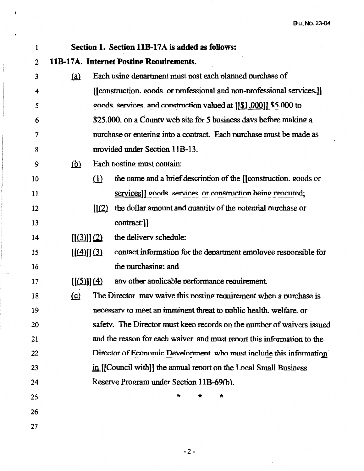| 1  |                            | Section 1. Section 11B-17A is added as follows:                         |
|----|----------------------------|-------------------------------------------------------------------------|
| 2  |                            | 11B-17A. Internet Posting Requirements.                                 |
| 3  | <u>(a)</u>                 | Each using department must post each planned purchase of                |
| 4  |                            | [[construction. goods. or professional and non-professional services.]] |
| 5  |                            | goods, services, and construction valued at $[[\$1,000]]$ \$5.000 to    |
| 6  |                            | \$25,000, on a County web site for 5 business days before making a      |
| 7  |                            | purchase or entering into a contract. Each purchase must be made as     |
| 8  |                            | provided under Section 11B-13.                                          |
| 9  | <u>(b)</u>                 | Each posting must contain:                                              |
| 10 | (1)                        | the name and a brief description of the [[construction. goods or        |
| 11 |                            | services]] goods. services. or construction heing procured;             |
| 12 | $\left[\frac{1}{2}\right]$ | the dollar amount and quantity of the potential purchase or             |
| 13 |                            | contract:                                                               |
| 14 | $[(3)]$ $(2)$              | the delivery schedule:                                                  |
| 15 | $[(4)]$ $(3)$              | contact information for the department employee responsible for         |
| 16 |                            | the purchasing: and                                                     |
| 17 | $[(5)]$ $(4)$              | any other applicable performance requirement.                           |
| 18 | $\Omega$                   | The Director may waive this posting requirement when a purchase is      |
| 19 |                            | necessary to meet an imminent threat to public health, welfare, or      |
| 20 |                            | safety. The Director must keep records on the number of waivers issued  |
| 21 |                            | and the reason for each waiver, and must report this information to the |
| 22 |                            | Director of Economic Development. who must include this information     |
| 23 |                            | in [[Council with]] the annual report on the Local Small Business       |
| 24 |                            | Reserve Program under Section 11B-69(b).                                |
| 25 |                            |                                                                         |
| 26 |                            |                                                                         |
| 27 |                            |                                                                         |

 $\lambda$ 

 $\begin{array}{ccc}\n\vdots & \vdots & \vdots \\
\vdots & \vdots & \vdots & \vdots \\
\vdots & \vdots & \vdots & \vdots \\
\vdots & \vdots & \vdots & \vdots \\
\vdots & \vdots & \vdots & \vdots \\
\vdots & \vdots & \vdots & \vdots \\
\vdots & \vdots & \vdots & \vdots \\
\vdots & \vdots & \vdots & \vdots \\
\vdots & \vdots & \vdots & \vdots \\
\vdots & \vdots & \vdots & \vdots \\
\vdots & \vdots & \vdots & \vdots \\
\vdots & \vdots & \vdots & \vdots \\
\vdots & \vdots & \vdots & \vdots \\
\vdots & \vdots &$ 

 $\cdot$ 

-2-

J.

 $\mathbb{R}^2$  .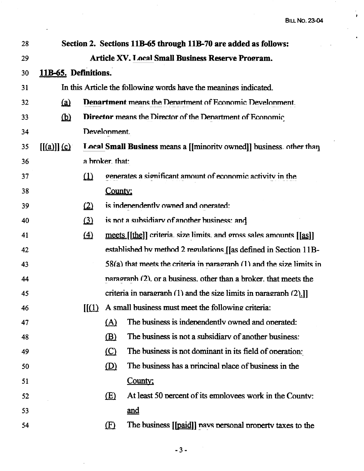$\frac{1}{\sqrt{2}}$ 

 $\hat{\bullet}$ 

| 28 |                                                                  |                                                                      |                 | Section 2. Sections 11B-65 through 11B-70 are added as follows:           |
|----|------------------------------------------------------------------|----------------------------------------------------------------------|-----------------|---------------------------------------------------------------------------|
| 29 |                                                                  |                                                                      |                 | <b>Article XV. Local Small Business Reserve Program.</b>                  |
| 30 | 11B-65. Definitions.                                             |                                                                      |                 |                                                                           |
| 31 | In this Article the following words have the meanings indicated. |                                                                      |                 |                                                                           |
| 32 | $\Omega$                                                         |                                                                      |                 | <b>Denartment means the Denartment of Economic Develonment.</b>           |
| 33 | $\mathbf{\underline{\omega}}$                                    |                                                                      |                 | Director means the Director of the Denartment of Economic                 |
| 34 |                                                                  |                                                                      | Develonment.    |                                                                           |
| 35 | $[(a)]$ $(c)$                                                    | Local Small Business means a [[minority owned]] business. other than |                 |                                                                           |
| 36 |                                                                  |                                                                      | a broker. that: |                                                                           |
| 37 |                                                                  | $\Omega$                                                             |                 | generates a significant amount of economic activity in the                |
| 38 |                                                                  |                                                                      | County:         |                                                                           |
| 39 |                                                                  | $\Omega$                                                             |                 | is indenendently owned and onerated:                                      |
| 40 |                                                                  | $\Omega$                                                             |                 | is not a subsidiary of another business: and                              |
| 41 |                                                                  | $\Delta$                                                             |                 | meets [[the]] criteria. size limits. and gross sales amounts [[as]]       |
| 42 |                                                                  |                                                                      |                 | established by method 2 regulations [[as defined in Section 11B-          |
| 43 |                                                                  |                                                                      |                 | $58(a)$ that meets the criteria in paragraph $(1)$ and the size limits in |
| 44 |                                                                  |                                                                      |                 | naragraph (2), or a business, other than a broker, that meets the         |
| 45 |                                                                  |                                                                      |                 | criteria in paragraph $(1)$ and the size limits in paragraph $(2)$ .]     |
| 46 |                                                                  | $\mathop{\rm I\mskip-4mu\rm I}(1)$                                   |                 | A small business must meet the following criteria:                        |
| 47 |                                                                  |                                                                      | <u>(A)</u>      | The business is independently owned and operated:                         |
| 48 |                                                                  |                                                                      | (B)             | The business is not a subsidiary of another business:                     |
| 49 |                                                                  |                                                                      | (C)             | The business is not dominant in its field of operation:                   |
| 50 |                                                                  |                                                                      | $\circled{D}$   | The business has a principal place of business in the                     |
| 51 |                                                                  |                                                                      |                 | County;                                                                   |
| 52 |                                                                  |                                                                      | E(E)            | At least 50 percent of its employees work in the County:                  |
| 53 |                                                                  |                                                                      |                 | and                                                                       |
| 54 |                                                                  |                                                                      | $\mathbf{E}$    | The business [[paid]] navs personal property taxes to the                 |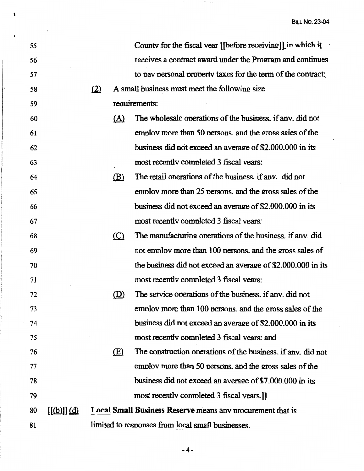| 55 |                                  |     |            | County for the fiscal vear [[before receiving]] in which it  |
|----|----------------------------------|-----|------------|--------------------------------------------------------------|
| 56 |                                  |     |            | receives a contract award under the Program and continues    |
| 57 |                                  |     |            | to pay personal property taxes for the term of the contract: |
| 58 |                                  | (2) |            | A small business must meet the following size                |
| 59 |                                  |     |            | requirements:                                                |
| 60 |                                  |     | <u>(A)</u> | The wholesale operations of the business, if any, did not    |
| 61 |                                  |     |            | employ more than 50 persons, and the gross sales of the      |
| 62 |                                  |     |            | business did not exceed an average of \$2,000,000 in its     |
| 63 |                                  |     |            | most recently completed 3 fiscal years:                      |
| 64 |                                  |     | (B)        | The retail operations of the business, if any, did not       |
| 65 |                                  |     |            | employ more than 25 persons, and the gross sales of the      |
| 66 |                                  |     |            | business did not exceed an average of \$2,000,000 in its     |
| 67 |                                  |     |            | most recently completed 3 fiscal years:                      |
| 68 |                                  |     | $\circ$    | The manufacturing operations of the business. if any. did    |
| 69 |                                  |     |            | not employ more than 100 persons, and the gross sales of     |
| 70 |                                  |     |            | the business did not exceed an average of \$2,000,000 in its |
| 71 |                                  |     |            | most recently completed 3 fiscal years:                      |
| 72 |                                  |     | (D)        | The service operations of the business, if any, did not      |
| 73 |                                  |     |            | employ more than 100 persons, and the gross sales of the     |
| 74 |                                  |     |            | business did not exceed an average of \$2,000,000 in its     |
| 75 |                                  |     |            | most recently completed 3 fiscal years; and                  |
| 76 |                                  |     | (E)        | The construction operations of the business, if any, did not |
| 77 |                                  |     |            | employ more than 50 persons, and the gross sales of the      |
| 78 |                                  |     |            | business did not exceed an average of \$7,000,000 in its     |
| 79 |                                  |     |            | most recently completed 3 fiscal years.]                     |
| 80 | $[(\phi)]$ ] $\overline{(\phi)}$ |     |            | Local Small Business Reserve means any procurement that is   |
| 81 |                                  |     |            | limited to responses from local small businesses.            |

 $\lambda$ 

 $\sim 10^6$ 

-4-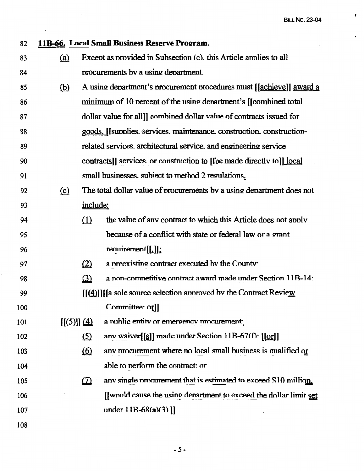**BILL NO. 23-04** 

 $\lambda$ 

 $\ddot{\phantom{a}}$ 

| 82  |                           |           | 11B-66. Local Small Business Reserve Program.                         |
|-----|---------------------------|-----------|-----------------------------------------------------------------------|
| 83  | (a)                       |           | Except as provided in Subsection (c). this Article applies to all     |
| 84  |                           |           | procurements by a using department.                                   |
| 85  | $\circled{b}$             |           | A using department's procurement procedures must [[achieve]] award a  |
| 86  |                           |           | minimum of 10 percent of the using department's [[combined total]     |
| 87  |                           |           | dollar value for all]] combined dollar value of contracts issued for  |
| 88  |                           |           | goods, [[supplies. services. maintenance. construction. construction- |
| 89  |                           |           | related services, architectural service, and engineering service      |
| 90  |                           |           | contracts]] services or construction to [Ibe made directly to]] local |
| 91  |                           |           | small businesses subject to method 2 regulations.                     |
| 92  | $\Omega$                  |           | The total dollar value of procurements by a using department does not |
| 93  |                           | include:  |                                                                       |
| 94  |                           | $\Omega$  | the value of any contract to which this Article does not apply        |
| 95  |                           |           | because of a conflict with state or federal law or a grant            |
| 96  |                           |           | requirement[[1]];                                                     |
| 97  |                           | (2)       | a preexisting contract executed by the County:                        |
| 98  |                           | $\Omega$  | a non-competitive contract award made under Section 11B-14:           |
| 99  |                           |           | $[[(4)]]$ [a sole source selection annoved by the Contract Review     |
| 100 |                           |           | Committee: orll                                                       |
| 101 | $[[(5)]] \underline{(4)}$ |           | a nublic entity or emergency procurement;                             |
| 102 |                           | $\Omega$  | anv waiver[[se ]] made under Section 11B-67(f): $[[\text{gr}]]$       |
| 103 |                           | <u>60</u> | any procurement where no local small business is qualified or         |
| 104 |                           |           | able to perform the contract: or                                      |
| 105 |                           | $\Omega$  | any single procurement that is estimated to exceed \$10 million.      |
| 106 |                           |           | [[would cause the using denartment to exceed the dollar limit set     |
| 107 |                           |           | under $11B-68(a)(3)$ ]                                                |
| 108 |                           |           |                                                                       |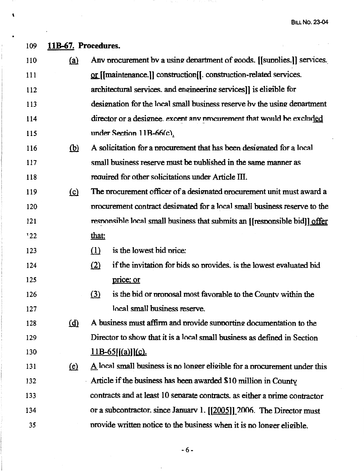BILL **No. 23-04** 

l,

| 109        | 11B-67. Procedures. |                                                                                         |
|------------|---------------------|-----------------------------------------------------------------------------------------|
| 110        | <u>(a)</u>          | Any procurement by a using department of goods. [[supplies.]] services.                 |
| <b>111</b> |                     | or [[maintenance.]] construction[[. construction-related services.                      |
| 112        |                     | architectural services. and engineering services]] is eligible for                      |
| 113        |                     | designation for the local small business reserve by the using department                |
| 114        |                     | director or a designee excent any procurement that would be excluded                    |
| 115        |                     | under Section 11B-66(c).                                                                |
| 116        | <u>(b)</u>          | A solicitation for a procurement that has been designated for a local                   |
| 117        |                     | small business reserve must be published in the same manner as                          |
| 118        |                     | required for other solicitations under Article III.                                     |
| 119        | $\Omega$            | The procurement officer of a designated procurement unit must award a                   |
| 120        |                     | procurement contract designated for a local small business reserve to the               |
| 121        |                     | responsible local small business that submits an [[responsible bid]] offer              |
| 122        |                     | that:                                                                                   |
| 123        |                     | is the lowest bid price:<br>$\Omega$                                                    |
| 124        |                     | if the invitation for bids so provides, is the lowest evaluated bid<br>(2)              |
| 125        |                     | price; or                                                                               |
| 126        |                     | is the bid or proposal most favorable to the County within the<br>$\Omega$              |
| 127        |                     | local small business reserve.                                                           |
| 128        | (d)                 | A business must affirm and provide supporting documentation to the                      |
| 129        |                     | Director to show that it is a local small business as defined in Section                |
| 130        |                     | $11B-65$ [[(a)]](c).                                                                    |
| 131        | (e)                 | $\underline{A}$ local small business is no longer eligible for a procurement under this |
| 132        |                     | Article if the business has been awarded \$10 million in County                         |
| 133        |                     | contracts and at least 10 separate contracts, as either a prime contractor              |
| 134        |                     | or a subcontractor. since January 1. $[[2005]]$ 2006. The Director must                 |
| 35         |                     | provide written notice to the business when it is no longer eligible.                   |

'

•

-6-

 $\ddot{\phantom{0}}$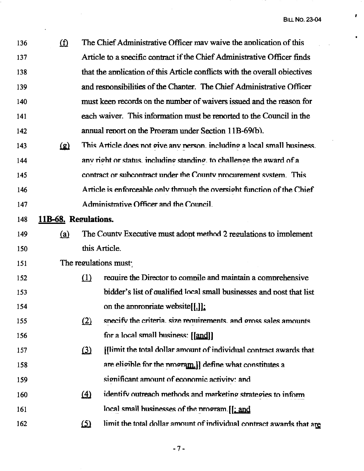$\pmb{I}$ 

 $\bullet$ 

| 136 | (f)                  |            | The Chief Administrative Officer may waive the application of this         |
|-----|----------------------|------------|----------------------------------------------------------------------------|
| 137 |                      |            | Article to a specific contract if the Chief Administrative Officer finds   |
| 138 |                      |            | that the application of this Article conflicts with the overall objectives |
| 139 |                      |            | and responsibilities of the Chapter. The Chief Administrative Officer      |
| 140 |                      |            | must keep records on the number of waivers issued and the reason for       |
| 141 |                      |            | each waiver. This information must be reported to the Council in the       |
| 142 |                      |            | annual report on the Program under Section 11B-69(b).                      |
| 143 | <u>(g)</u>           |            | This Article does not give any nerson. including a local small business.   |
| 144 |                      |            | any right or status, including standing, to challenge the award of a       |
| 145 |                      |            | contract or subcontract under the County procurement system. This          |
| 146 |                      |            | Article is enforceable only through the oversight function of the Chief    |
| 147 |                      |            | Administrative Officer and the Council.                                    |
| 148 | 11B-68. Regulations. |            |                                                                            |
| 149 | (a)                  |            | The County Executive must adopt method 2 regulations to implement          |
| 150 |                      |            | this Article.                                                              |
| 151 |                      |            | The regulations must:                                                      |
| 152 |                      | (1)        | require the Director to compile and maintain a comprehensive               |
| 153 |                      |            | bidder's list of qualified local small businesses and post that list       |
| 154 |                      |            | on the appropriate website[[.]].                                           |
| 155 |                      | (2)        | specify the criteria, size requirements, and gross sales amounts           |
| 156 |                      |            | for a local small business: [[and]]                                        |
| 157 |                      | $\Omega$   | [[limit the total dollar amount of individual contract awards that         |
| 158 |                      |            | are eligible for the program.]] define what constitutes a                  |
| 159 |                      |            | significant amount of economic activity; and                               |
| 160 |                      | $\Delta$   | identify outreach methods and marketing strategies to inform               |
| 161 |                      |            | local small businesses of the program. [[; and                             |
| 162 |                      | <u>(5)</u> | limit the total dollar amount of individual contract awards that are       |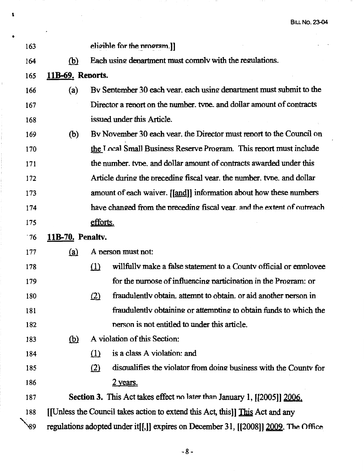BILL **No. 23-04** 

| 163 |                                                                                     |                                                         | eligible for the program.]                                                    |  |  |
|-----|-------------------------------------------------------------------------------------|---------------------------------------------------------|-------------------------------------------------------------------------------|--|--|
| 164 | (b)                                                                                 | Each using department must comply with the regulations. |                                                                               |  |  |
| 165 | 11B-69. Reports.                                                                    |                                                         |                                                                               |  |  |
| 166 | (a)                                                                                 |                                                         | By September 30 each year, each using department must submit to the           |  |  |
| 167 |                                                                                     |                                                         | Director a report on the number, type, and dollar amount of contracts         |  |  |
| 168 |                                                                                     |                                                         | issued under this Article.                                                    |  |  |
| 169 | (b)                                                                                 |                                                         | By November 30 each year, the Director must report to the Council on          |  |  |
| 170 |                                                                                     |                                                         | the Local Small Business Reserve Program. This report must include            |  |  |
| 171 |                                                                                     |                                                         | the number, type, and dollar amount of contracts awarded under this           |  |  |
| 172 |                                                                                     |                                                         | Article during the preceding fiscal vear, the number, type, and dollar        |  |  |
| 173 |                                                                                     |                                                         | amount of each waiver. [[and]] information about how these numbers            |  |  |
| 174 |                                                                                     |                                                         | have changed from the preceding fiscal vear, and the extent of outreach       |  |  |
| 175 |                                                                                     | efforts.                                                |                                                                               |  |  |
| .76 | 11B-70. Penaltv.                                                                    |                                                         |                                                                               |  |  |
| 177 | <u>(a)</u>                                                                          |                                                         | A person must not:                                                            |  |  |
| 178 |                                                                                     | $\Omega$                                                | willfully make a false statement to a County official or employee             |  |  |
| 179 |                                                                                     |                                                         | for the purpose of influencing participation in the Program: or               |  |  |
| 180 |                                                                                     | (2)                                                     | fraudulently obtain, attempt to obtain, or aid another person in              |  |  |
| 181 |                                                                                     |                                                         | fraudulently obtaining or attempting to obtain funds to which the             |  |  |
| 182 |                                                                                     |                                                         | nerson is not entitled to under this article.                                 |  |  |
| 183 | <u>(b)</u>                                                                          |                                                         | A violation of this Section:                                                  |  |  |
| 184 |                                                                                     | (1)                                                     | is a class A violation: and                                                   |  |  |
| 185 |                                                                                     | (2)                                                     | disqualifies the violator from doing business with the County for             |  |  |
| 186 |                                                                                     |                                                         | <u>2 years.</u>                                                               |  |  |
| 187 |                                                                                     |                                                         | Section 3. This Act takes effect no later than January 1, [[2005]] 2006.      |  |  |
| 188 |                                                                                     |                                                         | [[Unless the Council takes action to extend this Act, this]] This Act and any |  |  |
| `89 | regulations adopted under it[[,]] expires on December 31, [[2008]] 2009. The Office |                                                         |                                                                               |  |  |

'

ý,

•

 $\overline{1}$